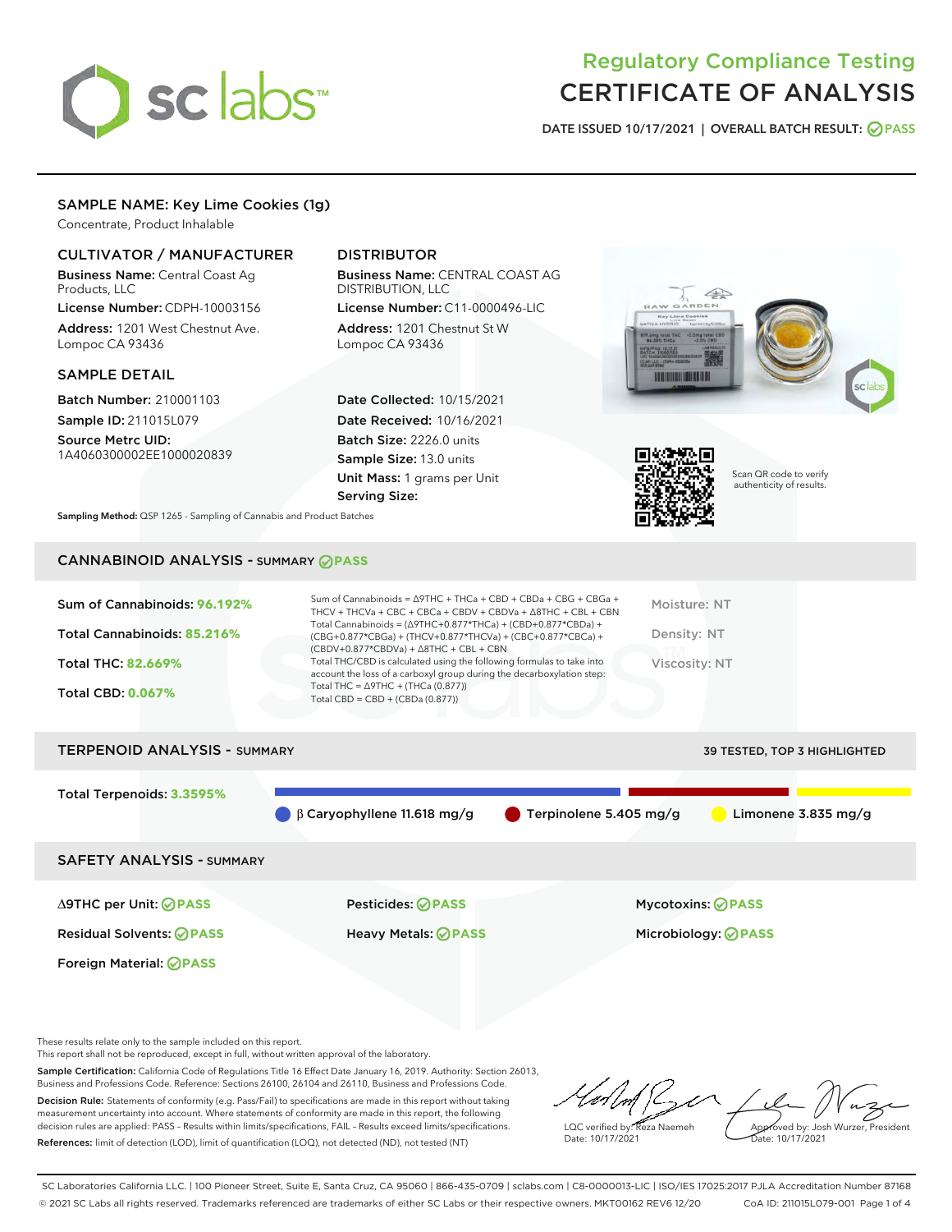# sclabs<sup>\*</sup>

## Regulatory Compliance Testing CERTIFICATE OF ANALYSIS

DATE ISSUED 10/17/2021 | OVERALL BATCH RESULT: @ PASS

#### SAMPLE NAME: Key Lime Cookies (1g)

Concentrate, Product Inhalable

#### CULTIVATOR / MANUFACTURER

Business Name: Central Coast Ag Products, LLC

License Number: CDPH-10003156 Address: 1201 West Chestnut Ave. Lompoc CA 93436

#### SAMPLE DETAIL

Batch Number: 210001103 Sample ID: 211015L079

Source Metrc UID: 1A4060300002EE1000020839

#### DISTRIBUTOR

Business Name: CENTRAL COAST AG DISTRIBUTION, LLC License Number: C11-0000496-LIC

Address: 1201 Chestnut St W Lompoc CA 93436

Date Collected: 10/15/2021 Date Received: 10/16/2021 Batch Size: 2226.0 units Sample Size: 13.0 units Unit Mass: 1 grams per Unit Serving Size:





Scan QR code to verify authenticity of results.

Sampling Method: QSP 1265 - Sampling of Cannabis and Product Batches

### CANNABINOID ANALYSIS - SUMMARY **PASS**



| <b>TERPENOID ANALYSIS - SUMMARY</b> |                                              |                                  | <b>39 TESTED, TOP 3 HIGHLIGHTED</b> |
|-------------------------------------|----------------------------------------------|----------------------------------|-------------------------------------|
| Total Terpenoids: 3.3595%           |                                              |                                  |                                     |
|                                     | $\bigcirc$ $\beta$ Caryophyllene 11.618 mg/g | $\bullet$ Terpinolene 5.405 mg/g | Limonene $3.835$ mg/g               |
| <b>SAFETY ANALYSIS - SUMMARY</b>    |                                              |                                  |                                     |
|                                     |                                              |                                  |                                     |

Foreign Material: **PASS**

∆9THC per Unit: **PASS** Pesticides: **PASS** Mycotoxins: **PASS**

Residual Solvents: **PASS** Heavy Metals: **PASS** Microbiology: **PASS**

These results relate only to the sample included on this report.

This report shall not be reproduced, except in full, without written approval of the laboratory.

Sample Certification: California Code of Regulations Title 16 Effect Date January 16, 2019. Authority: Section 26013, Business and Professions Code. Reference: Sections 26100, 26104 and 26110, Business and Professions Code. Decision Rule: Statements of conformity (e.g. Pass/Fail) to specifications are made in this report without taking measurement uncertainty into account. Where statements of conformity are made in this report, the following

decision rules are applied: PASS – Results within limits/specifications, FAIL – Results exceed limits/specifications. References: limit of detection (LOD), limit of quantification (LOQ), not detected (ND), not tested (NT)

LQC verified by: Reza Naemeh Date: 10/17/2021 Approved by: Josh Wurzer, President Date: 10/17/2021

SC Laboratories California LLC. | 100 Pioneer Street, Suite E, Santa Cruz, CA 95060 | 866-435-0709 | sclabs.com | C8-0000013-LIC | ISO/IES 17025:2017 PJLA Accreditation Number 87168 © 2021 SC Labs all rights reserved. Trademarks referenced are trademarks of either SC Labs or their respective owners. MKT00162 REV6 12/20 CoA ID: 211015L079-001 Page 1 of 4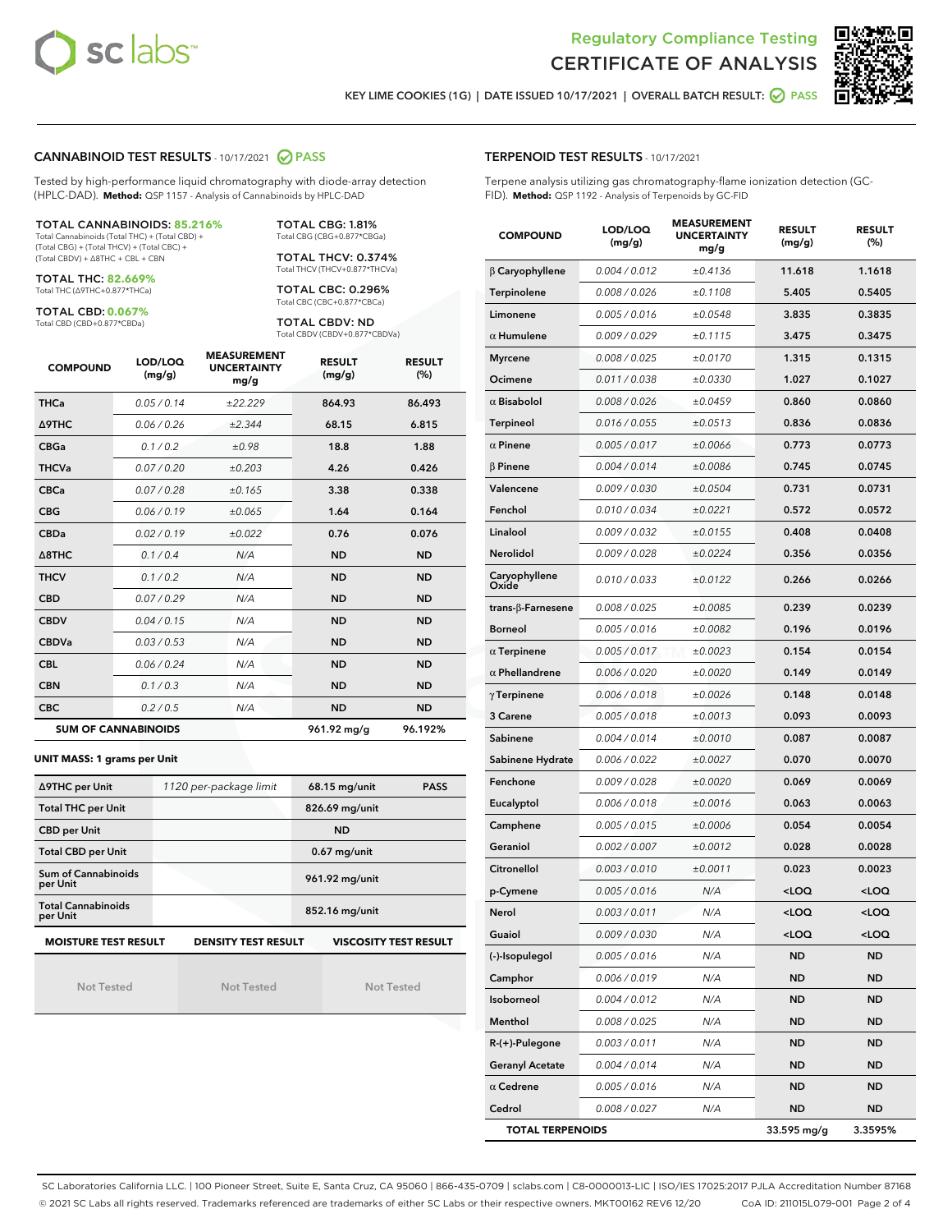



KEY LIME COOKIES (1G) | DATE ISSUED 10/17/2021 | OVERALL BATCH RESULT: **O PASS** 

#### CANNABINOID TEST RESULTS - 10/17/2021 2 PASS

Tested by high-performance liquid chromatography with diode-array detection (HPLC-DAD). **Method:** QSP 1157 - Analysis of Cannabinoids by HPLC-DAD

#### TOTAL CANNABINOIDS: **85.216%**

Total Cannabinoids (Total THC) + (Total CBD) + (Total CBG) + (Total THCV) + (Total CBC) + (Total CBDV) + ∆8THC + CBL + CBN

TOTAL THC: **82.669%** Total THC (∆9THC+0.877\*THCa)

TOTAL CBD: **0.067%**

Total CBD (CBD+0.877\*CBDa)

TOTAL CBG: 1.81% Total CBG (CBG+0.877\*CBGa)

TOTAL THCV: 0.374% Total THCV (THCV+0.877\*THCVa)

TOTAL CBC: 0.296% Total CBC (CBC+0.877\*CBCa)

TOTAL CBDV: ND Total CBDV (CBDV+0.877\*CBDVa)

| <b>COMPOUND</b>            | LOD/LOQ<br>(mg/g) | <b>MEASUREMENT</b><br><b>UNCERTAINTY</b><br>mg/g | <b>RESULT</b><br>(mg/g) | <b>RESULT</b><br>(%) |
|----------------------------|-------------------|--------------------------------------------------|-------------------------|----------------------|
| <b>THCa</b>                | 0.05/0.14         | ±22.229                                          | 864.93                  | 86.493               |
| <b>A9THC</b>               | 0.06/0.26         | ±2.344                                           | 68.15                   | 6.815                |
| <b>CBGa</b>                | 0.1 / 0.2         | ±0.98                                            | 18.8                    | 1.88                 |
| <b>THCVa</b>               | 0.07/0.20         | ±0.203                                           | 4.26                    | 0.426                |
| <b>CBCa</b>                | 0.07/0.28         | ±0.165                                           | 3.38                    | 0.338                |
| <b>CBG</b>                 | 0.06/0.19         | ±0.065                                           | 1.64                    | 0.164                |
| <b>CBDa</b>                | 0.02/0.19         | ±0.022                                           | 0.76                    | 0.076                |
| $\triangle$ 8THC           | 0.1 / 0.4         | N/A                                              | <b>ND</b>               | <b>ND</b>            |
| <b>THCV</b>                | 0.1 / 0.2         | N/A                                              | <b>ND</b>               | <b>ND</b>            |
| <b>CBD</b>                 | 0.07/0.29         | N/A                                              | <b>ND</b>               | <b>ND</b>            |
| <b>CBDV</b>                | 0.04 / 0.15       | N/A                                              | <b>ND</b>               | <b>ND</b>            |
| <b>CBDVa</b>               | 0.03/0.53         | N/A                                              | <b>ND</b>               | <b>ND</b>            |
| <b>CBL</b>                 | 0.06 / 0.24       | N/A                                              | <b>ND</b>               | <b>ND</b>            |
| <b>CBN</b>                 | 0.1/0.3           | N/A                                              | <b>ND</b>               | <b>ND</b>            |
| <b>CBC</b>                 | 0.2 / 0.5         | N/A                                              | <b>ND</b>               | <b>ND</b>            |
| <b>SUM OF CANNABINOIDS</b> |                   |                                                  | 961.92 mg/g             | 96.192%              |

#### **UNIT MASS: 1 grams per Unit**

| ∆9THC per Unit                                                                            | 1120 per-package limit | 68.15 mg/unit<br><b>PASS</b> |  |  |  |
|-------------------------------------------------------------------------------------------|------------------------|------------------------------|--|--|--|
| <b>Total THC per Unit</b>                                                                 |                        | 826.69 mg/unit               |  |  |  |
| <b>CBD per Unit</b>                                                                       |                        | <b>ND</b>                    |  |  |  |
| <b>Total CBD per Unit</b>                                                                 |                        | $0.67$ mg/unit               |  |  |  |
| Sum of Cannabinoids<br>per Unit                                                           |                        | 961.92 mg/unit               |  |  |  |
| <b>Total Cannabinoids</b><br>per Unit                                                     |                        | 852.16 mg/unit               |  |  |  |
| <b>MOISTURE TEST RESULT</b><br><b>VISCOSITY TEST RESULT</b><br><b>DENSITY TEST RESULT</b> |                        |                              |  |  |  |

Not Tested

Not Tested

Not Tested

#### TERPENOID TEST RESULTS - 10/17/2021

Terpene analysis utilizing gas chromatography-flame ionization detection (GC-FID). **Method:** QSP 1192 - Analysis of Terpenoids by GC-FID

| <b>COMPOUND</b>         | LOD/LOQ<br>(mg/g) | <b>MEASUREMENT</b><br><b>UNCERTAINTY</b><br>mg/g | <b>RESULT</b><br>(mg/g)                         | <b>RESULT</b><br>$(\%)$ |
|-------------------------|-------------------|--------------------------------------------------|-------------------------------------------------|-------------------------|
| β Caryophyllene         | 0.004 / 0.012     | ±0.4136                                          | 11.618                                          | 1.1618                  |
| Terpinolene             | 0.008 / 0.026     | ±0.1108                                          | 5.405                                           | 0.5405                  |
| Limonene                | 0.005 / 0.016     | ±0.0548                                          | 3.835                                           | 0.3835                  |
| $\alpha$ Humulene       | 0.009 / 0.029     | ±0.1115                                          | 3.475                                           | 0.3475                  |
| <b>Myrcene</b>          | 0.008 / 0.025     | ±0.0170                                          | 1.315                                           | 0.1315                  |
| Ocimene                 | 0.011 / 0.038     | ±0.0330                                          | 1.027                                           | 0.1027                  |
| $\alpha$ Bisabolol      | 0.008 / 0.026     | ±0.0459                                          | 0.860                                           | 0.0860                  |
| <b>Terpineol</b>        | 0.016 / 0.055     | ±0.0513                                          | 0.836                                           | 0.0836                  |
| $\alpha$ Pinene         | 0.005 / 0.017     | ±0.0066                                          | 0.773                                           | 0.0773                  |
| $\beta$ Pinene          | 0.004 / 0.014     | ±0.0086                                          | 0.745                                           | 0.0745                  |
| Valencene               | 0.009 / 0.030     | ±0.0504                                          | 0.731                                           | 0.0731                  |
| Fenchol                 | 0.010 / 0.034     | ±0.0221                                          | 0.572                                           | 0.0572                  |
| Linalool                | 0.009 / 0.032     | ±0.0155                                          | 0.408                                           | 0.0408                  |
| Nerolidol               | 0.009 / 0.028     | ±0.0224                                          | 0.356                                           | 0.0356                  |
| Caryophyllene<br>Oxide  | 0.010 / 0.033     | ±0.0122                                          | 0.266                                           | 0.0266                  |
| trans-β-Farnesene       | 0.008 / 0.025     | ±0.0085                                          | 0.239                                           | 0.0239                  |
| <b>Borneol</b>          | 0.005 / 0.016     | ±0.0082                                          | 0.196                                           | 0.0196                  |
| $\alpha$ Terpinene      | 0.005 / 0.017     | ±0.0023                                          | 0.154                                           | 0.0154                  |
| $\alpha$ Phellandrene   | 0.006 / 0.020     | ±0.0020                                          | 0.149                                           | 0.0149                  |
| $\gamma$ Terpinene      | 0.006 / 0.018     | ±0.0026                                          | 0.148                                           | 0.0148                  |
| 3 Carene                | 0.005 / 0.018     | ±0.0013                                          | 0.093                                           | 0.0093                  |
| Sabinene                | 0.004 / 0.014     | ±0.0010                                          | 0.087                                           | 0.0087                  |
| Sabinene Hydrate        | 0.006 / 0.022     | ±0.0027                                          | 0.070                                           | 0.0070                  |
| Fenchone                | 0.009 / 0.028     | ±0.0020                                          | 0.069                                           | 0.0069                  |
| Eucalyptol              | 0.006 / 0.018     | ±0.0016                                          | 0.063                                           | 0.0063                  |
| Camphene                | 0.005 / 0.015     | ±0.0006                                          | 0.054                                           | 0.0054                  |
| Geraniol                | 0.002 / 0.007     | ±0.0012                                          | 0.028                                           | 0.0028                  |
| Citronellol             | 0.003 / 0.010     | ±0.0011                                          | 0.023                                           | 0.0023                  |
| p-Cymene                | 0.005 / 0.016     | N/A                                              | <loq< th=""><th><loq< th=""></loq<></th></loq<> | <loq< th=""></loq<>     |
| Nerol                   | 0.003 / 0.011     | N/A                                              | $<$ l OO                                        | $\sim$ 0.0              |
| Guaiol                  | 0.009 / 0.030     | N/A                                              | <loq< th=""><th><loq< th=""></loq<></th></loq<> | <loq< th=""></loq<>     |
| (-)-Isopulegol          | 0.005 / 0.016     | N/A                                              | ND                                              | ND                      |
| Camphor                 | 0.006 / 0.019     | N/A                                              | ND                                              | <b>ND</b>               |
| Isoborneol              | 0.004 / 0.012     | N/A                                              | ND                                              | ND                      |
| Menthol                 | 0.008 / 0.025     | N/A                                              | ND                                              | ND                      |
| R-(+)-Pulegone          | 0.003 / 0.011     | N/A                                              | ND                                              | ND                      |
| <b>Geranyl Acetate</b>  | 0.004 / 0.014     | N/A                                              | ND                                              | ND                      |
| $\alpha$ Cedrene        | 0.005 / 0.016     | N/A                                              | ND                                              | ND                      |
| Cedrol                  | 0.008 / 0.027     | N/A                                              | ND                                              | <b>ND</b>               |
| <b>TOTAL TERPENOIDS</b> |                   |                                                  | 33.595 mg/g                                     | 3.3595%                 |

SC Laboratories California LLC. | 100 Pioneer Street, Suite E, Santa Cruz, CA 95060 | 866-435-0709 | sclabs.com | C8-0000013-LIC | ISO/IES 17025:2017 PJLA Accreditation Number 87168 © 2021 SC Labs all rights reserved. Trademarks referenced are trademarks of either SC Labs or their respective owners. MKT00162 REV6 12/20 CoA ID: 211015L079-001 Page 2 of 4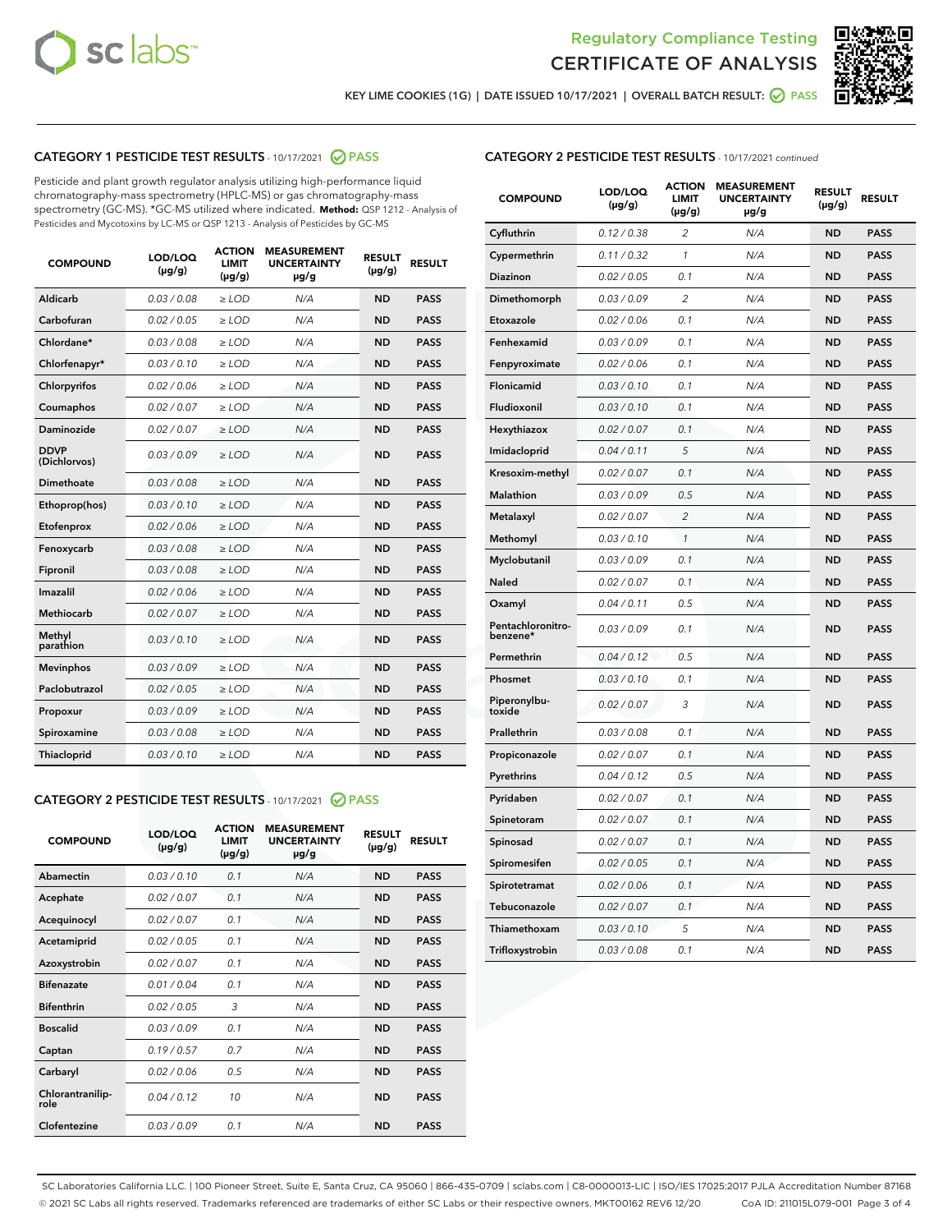



KEY LIME COOKIES (1G) | DATE ISSUED 10/17/2021 | OVERALL BATCH RESULT: @ PASS

#### CATEGORY 1 PESTICIDE TEST RESULTS - 10/17/2021 @ PASS

Pesticide and plant growth regulator analysis utilizing high-performance liquid chromatography-mass spectrometry (HPLC-MS) or gas chromatography-mass spectrometry (GC-MS). \*GC-MS utilized where indicated. **Method:** QSP 1212 - Analysis of Pesticides and Mycotoxins by LC-MS or QSP 1213 - Analysis of Pesticides by GC-MS

| <b>COMPOUND</b>             | LOD/LOQ<br>$(\mu g/g)$ | <b>ACTION</b><br><b>LIMIT</b><br>$(\mu g/g)$ | <b>MEASUREMENT</b><br><b>UNCERTAINTY</b><br>µg/g | <b>RESULT</b><br>$(\mu g/g)$ | <b>RESULT</b> |
|-----------------------------|------------------------|----------------------------------------------|--------------------------------------------------|------------------------------|---------------|
| Aldicarb                    | 0.03/0.08              | $>$ LOD                                      | N/A                                              | <b>ND</b>                    | <b>PASS</b>   |
| Carbofuran                  | 0.02 / 0.05            | $\ge$ LOD                                    | N/A                                              | <b>ND</b>                    | <b>PASS</b>   |
| Chlordane*                  | 0.03/0.08              | $>$ LOD                                      | N/A                                              | <b>ND</b>                    | <b>PASS</b>   |
| Chlorfenapyr*               | 0.03 / 0.10            | $\ge$ LOD                                    | N/A                                              | <b>ND</b>                    | <b>PASS</b>   |
| Chlorpyrifos                | 0.02 / 0.06            | $\ge$ LOD                                    | N/A                                              | <b>ND</b>                    | <b>PASS</b>   |
| Coumaphos                   | 0.02 / 0.07            | $\ge$ LOD                                    | N/A                                              | <b>ND</b>                    | <b>PASS</b>   |
| Daminozide                  | 0.02 / 0.07            | $\ge$ LOD                                    | N/A                                              | <b>ND</b>                    | <b>PASS</b>   |
| <b>DDVP</b><br>(Dichlorvos) | 0.03/0.09              | $\ge$ LOD                                    | N/A                                              | <b>ND</b>                    | <b>PASS</b>   |
| <b>Dimethoate</b>           | 0.03/0.08              | $\ge$ LOD                                    | N/A                                              | <b>ND</b>                    | <b>PASS</b>   |
| Ethoprop(hos)               | 0.03/0.10              | $\ge$ LOD                                    | N/A                                              | <b>ND</b>                    | <b>PASS</b>   |
| Etofenprox                  | 0.02 / 0.06            | $\ge$ LOD                                    | N/A                                              | <b>ND</b>                    | <b>PASS</b>   |
| Fenoxycarb                  | 0.03 / 0.08            | $\ge$ LOD                                    | N/A                                              | <b>ND</b>                    | <b>PASS</b>   |
| Fipronil                    | 0.03/0.08              | $>$ LOD                                      | N/A                                              | <b>ND</b>                    | <b>PASS</b>   |
| Imazalil                    | 0.02 / 0.06            | $\ge$ LOD                                    | N/A                                              | <b>ND</b>                    | <b>PASS</b>   |
| Methiocarb                  | 0.02 / 0.07            | $\ge$ LOD                                    | N/A                                              | <b>ND</b>                    | <b>PASS</b>   |
| Methyl<br>parathion         | 0.03/0.10              | $\ge$ LOD                                    | N/A                                              | <b>ND</b>                    | <b>PASS</b>   |
| <b>Mevinphos</b>            | 0.03/0.09              | $\ge$ LOD                                    | N/A                                              | <b>ND</b>                    | <b>PASS</b>   |
| Paclobutrazol               | 0.02 / 0.05            | $>$ LOD                                      | N/A                                              | <b>ND</b>                    | <b>PASS</b>   |
| Propoxur                    | 0.03/0.09              | $\ge$ LOD                                    | N/A                                              | <b>ND</b>                    | <b>PASS</b>   |
| Spiroxamine                 | 0.03 / 0.08            | $\ge$ LOD                                    | N/A                                              | <b>ND</b>                    | <b>PASS</b>   |
| Thiacloprid                 | 0.03/0.10              | $\ge$ LOD                                    | N/A                                              | <b>ND</b>                    | <b>PASS</b>   |

#### CATEGORY 2 PESTICIDE TEST RESULTS - 10/17/2021 @ PASS

| <b>COMPOUND</b>          | LOD/LOQ<br>$(\mu g/g)$ | <b>ACTION</b><br>LIMIT<br>$(\mu g/g)$ | <b>MEASUREMENT</b><br><b>UNCERTAINTY</b><br>$\mu$ g/g | <b>RESULT</b><br>$(\mu g/g)$ | <b>RESULT</b> |  |
|--------------------------|------------------------|---------------------------------------|-------------------------------------------------------|------------------------------|---------------|--|
| Abamectin                | 0.03/0.10              | 0.1                                   | N/A                                                   | <b>ND</b>                    | <b>PASS</b>   |  |
| Acephate                 | 0.02/0.07              | 0.1                                   | N/A                                                   | <b>ND</b>                    | <b>PASS</b>   |  |
| Acequinocyl              | 0.02/0.07              | 0.1                                   | N/A                                                   | <b>ND</b>                    | <b>PASS</b>   |  |
| Acetamiprid              | 0.02/0.05              | 0.1                                   | N/A                                                   | <b>ND</b>                    | <b>PASS</b>   |  |
| Azoxystrobin             | 0.02/0.07              | 0.1                                   | N/A                                                   | <b>ND</b>                    | <b>PASS</b>   |  |
| <b>Bifenazate</b>        | 0.01/0.04              | 0.1                                   | N/A                                                   | <b>ND</b>                    | <b>PASS</b>   |  |
| <b>Bifenthrin</b>        | 0.02/0.05              | 3                                     | N/A                                                   | <b>ND</b>                    | <b>PASS</b>   |  |
| <b>Boscalid</b>          | 0.03/0.09              | 0.1                                   | N/A                                                   | <b>ND</b>                    | <b>PASS</b>   |  |
| Captan                   | 0.19/0.57              | 07                                    | N/A                                                   | <b>ND</b>                    | <b>PASS</b>   |  |
| Carbaryl                 | 0.02/0.06              | 0.5                                   | N/A                                                   | <b>ND</b>                    | <b>PASS</b>   |  |
| Chlorantranilip-<br>role | 0.04/0.12              | 10                                    | N/A                                                   | <b>ND</b>                    | <b>PASS</b>   |  |
| Clofentezine             | 0.03/0.09              | 0.1                                   | N/A                                                   | <b>ND</b>                    | <b>PASS</b>   |  |

| <b>CATEGORY 2 PESTICIDE TEST RESULTS</b> - 10/17/2021 continued |  |  |
|-----------------------------------------------------------------|--|--|
|                                                                 |  |  |

| <b>COMPOUND</b>               | LOD/LOQ<br>$(\mu g/g)$ | <b>ACTION</b><br>LIMIT<br>(µg/g) | <b>MEASUREMENT</b><br><b>UNCERTAINTY</b><br>µg/g | <b>RESULT</b><br>$(\mu g/g)$ | <b>RESULT</b> |
|-------------------------------|------------------------|----------------------------------|--------------------------------------------------|------------------------------|---------------|
| Cyfluthrin                    | 0.12 / 0.38            | $\overline{c}$                   | N/A                                              | ND                           | <b>PASS</b>   |
| Cypermethrin                  | 0.11 / 0.32            | 1                                | N/A                                              | <b>ND</b>                    | <b>PASS</b>   |
| Diazinon                      | 0.02 / 0.05            | 0.1                              | N/A                                              | <b>ND</b>                    | <b>PASS</b>   |
| Dimethomorph                  | 0.03 / 0.09            | 2                                | N/A                                              | <b>ND</b>                    | <b>PASS</b>   |
| Etoxazole                     | 0.02 / 0.06            | 0.1                              | N/A                                              | <b>ND</b>                    | <b>PASS</b>   |
| Fenhexamid                    | 0.03 / 0.09            | 0.1                              | N/A                                              | <b>ND</b>                    | <b>PASS</b>   |
| Fenpyroximate                 | 0.02 / 0.06            | 0.1                              | N/A                                              | <b>ND</b>                    | <b>PASS</b>   |
| Flonicamid                    | 0.03 / 0.10            | 0.1                              | N/A                                              | <b>ND</b>                    | <b>PASS</b>   |
| Fludioxonil                   | 0.03/0.10              | 0.1                              | N/A                                              | <b>ND</b>                    | <b>PASS</b>   |
| Hexythiazox                   | 0.02 / 0.07            | 0.1                              | N/A                                              | <b>ND</b>                    | <b>PASS</b>   |
| Imidacloprid                  | 0.04 / 0.11            | 5                                | N/A                                              | <b>ND</b>                    | <b>PASS</b>   |
| Kresoxim-methyl               | 0.02 / 0.07            | 0.1                              | N/A                                              | <b>ND</b>                    | <b>PASS</b>   |
| <b>Malathion</b>              | 0.03 / 0.09            | 0.5                              | N/A                                              | <b>ND</b>                    | <b>PASS</b>   |
| Metalaxyl                     | 0.02 / 0.07            | $\overline{c}$                   | N/A                                              | <b>ND</b>                    | <b>PASS</b>   |
| Methomyl                      | 0.03 / 0.10            | $\mathcal{I}$                    | N/A                                              | <b>ND</b>                    | <b>PASS</b>   |
| Myclobutanil                  | 0.03 / 0.09            | 0.1                              | N/A                                              | <b>ND</b>                    | <b>PASS</b>   |
| Naled                         | 0.02 / 0.07            | 0.1                              | N/A                                              | <b>ND</b>                    | <b>PASS</b>   |
| Oxamyl                        | 0.04 / 0.11            | 0.5                              | N/A                                              | <b>ND</b>                    | <b>PASS</b>   |
| Pentachloronitro-<br>benzene* | 0.03/0.09              | 0.1                              | N/A                                              | <b>ND</b>                    | <b>PASS</b>   |
| Permethrin                    | 0.04 / 0.12            | 0.5                              | N/A                                              | <b>ND</b>                    | <b>PASS</b>   |
| Phosmet                       | 0.03 / 0.10            | 0.1                              | N/A                                              | <b>ND</b>                    | <b>PASS</b>   |
| Piperonylbu-<br>toxide        | 0.02 / 0.07            | 3                                | N/A                                              | <b>ND</b>                    | <b>PASS</b>   |
| Prallethrin                   | 0.03 / 0.08            | 0.1                              | N/A                                              | <b>ND</b>                    | <b>PASS</b>   |
| Propiconazole                 | 0.02 / 0.07            | 0.1                              | N/A                                              | <b>ND</b>                    | <b>PASS</b>   |
| Pyrethrins                    | 0.04 / 0.12            | 0.5                              | N/A                                              | <b>ND</b>                    | <b>PASS</b>   |
| Pyridaben                     | 0.02 / 0.07            | 0.1                              | N/A                                              | <b>ND</b>                    | <b>PASS</b>   |
| Spinetoram                    | 0.02 / 0.07            | 0.1                              | N/A                                              | ND                           | <b>PASS</b>   |
| Spinosad                      | 0.02 / 0.07            | 0.1                              | N/A                                              | <b>ND</b>                    | <b>PASS</b>   |
| Spiromesifen                  | 0.02 / 0.05            | 0.1                              | N/A                                              | <b>ND</b>                    | <b>PASS</b>   |
| Spirotetramat                 | 0.02 / 0.06            | 0.1                              | N/A                                              | <b>ND</b>                    | <b>PASS</b>   |
| Tebuconazole                  | 0.02 / 0.07            | 0.1                              | N/A                                              | ND                           | <b>PASS</b>   |
| Thiamethoxam                  | 0.03 / 0.10            | 5                                | N/A                                              | <b>ND</b>                    | <b>PASS</b>   |
| Trifloxystrobin               | 0.03 / 0.08            | 0.1                              | N/A                                              | <b>ND</b>                    | <b>PASS</b>   |

SC Laboratories California LLC. | 100 Pioneer Street, Suite E, Santa Cruz, CA 95060 | 866-435-0709 | sclabs.com | C8-0000013-LIC | ISO/IES 17025:2017 PJLA Accreditation Number 87168 © 2021 SC Labs all rights reserved. Trademarks referenced are trademarks of either SC Labs or their respective owners. MKT00162 REV6 12/20 CoA ID: 211015L079-001 Page 3 of 4